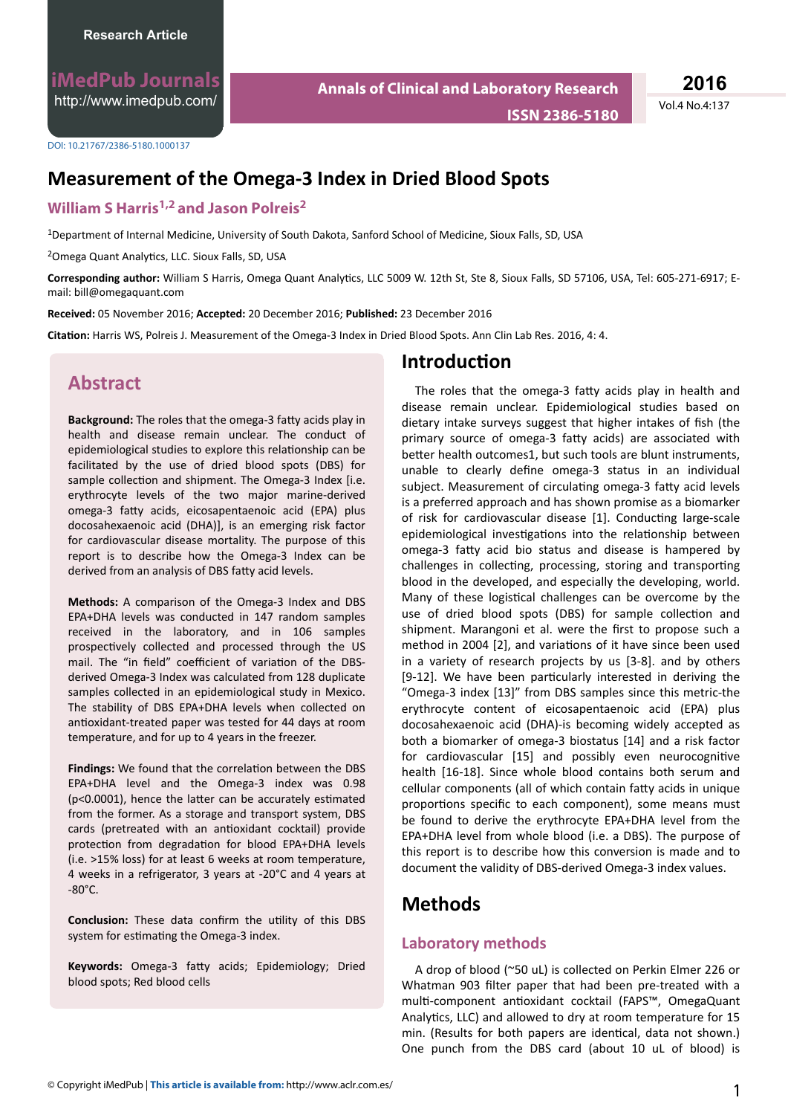**iMedPub Journals** <http://www.imedpub.com/>

**Annals of Clinical and Laboratory Research ISSN 2386-5180** Vol.4 No.4:137 **2016**

#### DOI: 10.21767/2386-5180.1000137

# **Measurement of the Omega-3 Index in Dried Blood Spots**

#### **William S Harris1,2 and Jason Polreis<sup>2</sup>**

<sup>1</sup>Department of Internal Medicine, University of South Dakota, Sanford School of Medicine, Sioux Falls, SD, USA

<sup>2</sup>Omega Quant Analytics, LLC. Sioux Falls, SD, USA

Corresponding author: William S Harris, Omega Quant Analytics, LLC 5009 W. 12th St, Ste 8, Sioux Falls, SD 57106, USA, Tel: 605-271-6917; Email: bill@omegaquant.com

**Received:** 05 November 2016; **Accepted:** 20 December 2016; **Published:** 23 December 2016

Citation: Harris WS, Polreis J. Measurement of the Omega-3 Index in Dried Blood Spots. Ann Clin Lab Res. 2016, 4: 4.

## **Abstract**

**Background:** The roles that the omega-3 fatty acids play in health and disease remain unclear. The conduct of epidemiological studies to explore this relationship can be facilitated by the use of dried blood spots (DBS) for sample collection and shipment. The Omega-3 Index [i.e. erythrocyte levels of the two major marine-derived omega-3 fatty acids, eicosapentaenoic acid (EPA) plus docosahexaenoic acid (DHA)], is an emerging risk factor for cardiovascular disease mortality. The purpose of this report is to describe how the Omega-3 Index can be derived from an analysis of DBS fatty acid levels.

**Methods:** A comparison of the Omega-3 Index and DBS EPA+DHA levels was conducted in 147 random samples received in the laboratory, and in 106 samples prospectively collected and processed through the US mail. The "in field" coefficient of variation of the DBSderived Omega-3 Index was calculated from 128 duplicate samples collected in an epidemiological study in Mexico. The stability of DBS EPA+DHA levels when collected on antioxidant-treated paper was tested for 44 days at room temperature, and for up to 4 years in the freezer.

Findings: We found that the correlation between the DBS EPA+DHA level and the Omega-3 index was 0.98 ( $p$ <0.0001), hence the latter can be accurately estimated from the former. As a storage and transport system, DBS cards (pretreated with an antioxidant cocktail) provide protection from degradation for blood EPA+DHA levels (i.e. >15% loss) for at least 6 weeks at room temperature, 4 weeks in a refrigerator, 3 years at -20°C and 4 years at  $-80^{\circ}$ C.

**Conclusion:** These data confirm the utility of this DBS system for estimating the Omega-3 index.

Keywords: Omega-3 fatty acids; Epidemiology; Dried blood spots; Red blood cells

#### **Introduction**

The roles that the omega-3 fatty acids play in health and disease remain unclear. Epidemiological studies based on dietary intake surveys suggest that higher intakes of fish (the primary source of omega-3 fatty acids) are associated with better health outcomes1, but such tools are blunt instruments, unable to clearly define omega-3 status in an individual subject. Measurement of circulating omega-3 fatty acid levels is a preferred approach and has shown promise as a biomarker of risk for cardiovascular disease [1]. Conducting large-scale epidemiological investigations into the relationship between omega-3 fatty acid bio status and disease is hampered by challenges in collecting, processing, storing and transporting blood in the developed, and especially the developing, world. Many of these logistical challenges can be overcome by the use of dried blood spots (DBS) for sample collection and shipment. Marangoni et al. were the first to propose such a method in 2004 [2], and variations of it have since been used in a variety of research projects by us [3-8]. and by others [9-12]. We have been particularly interested in deriving the "Omega-3 index [13]" from DBS samples since this metric-the erythrocyte content of eicosapentaenoic acid (EPA) plus docosahexaenoic acid (DHA)-is becoming widely accepted as both a biomarker of omega-3 biostatus [14] and a risk factor for cardiovascular [15] and possibly even neurocognitive health [16-18]. Since whole blood contains both serum and cellular components (all of which contain fatty acids in unique proportions specific to each component), some means must be found to derive the erythrocyte EPA+DHA level from the EPA+DHA level from whole blood (i.e. a DBS). The purpose of this report is to describe how this conversion is made and to document the validity of DBS-derived Omega-3 index values.

## **Methods**

#### **Laboratory methods**

A drop of blood (~50 uL) is collected on Perkin Elmer 226 or Whatman 903 filter paper that had been pre-treated with a multi-component antioxidant cocktail (FAPS™, OmegaQuant Analytics, LLC) and allowed to dry at room temperature for 15 min. (Results for both papers are identical, data not shown.) One punch from the DBS card (about 10 uL of blood) is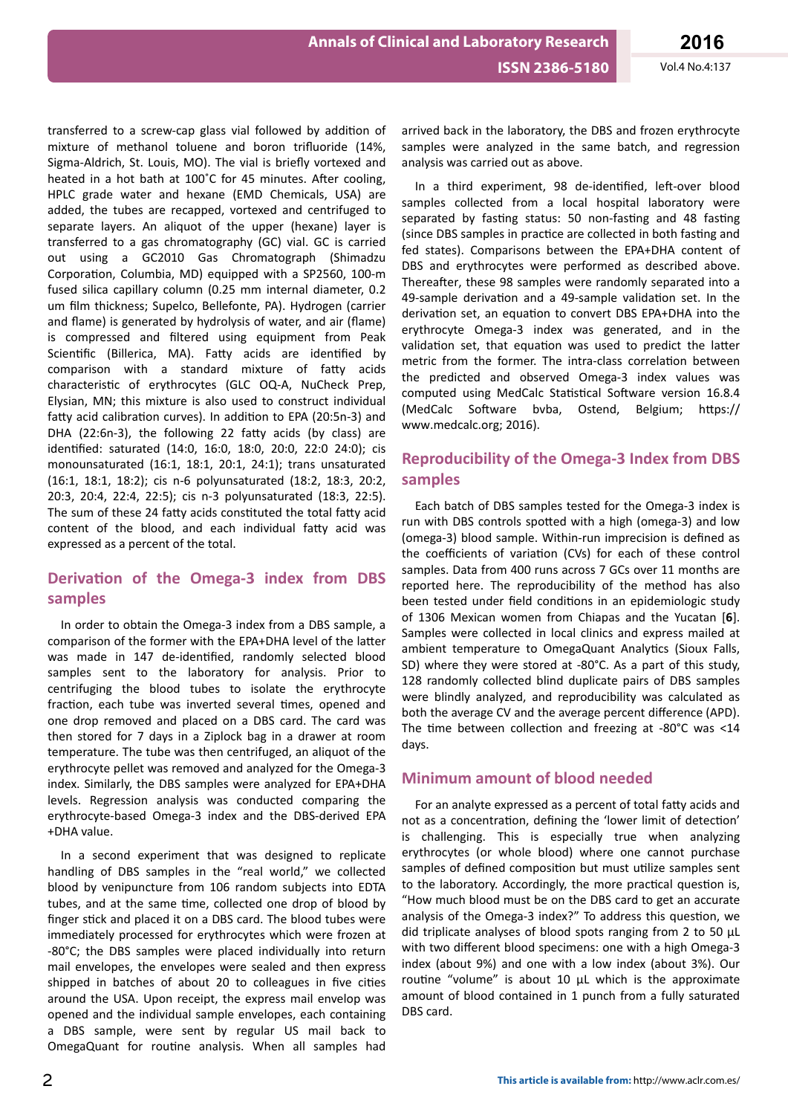transferred to a screw-cap glass vial followed by addition of mixture of methanol toluene and boron trifluoride (14%, Sigma-Aldrich, St. Louis, MO). The vial is briefly vortexed and heated in a hot bath at 100°C for 45 minutes. After cooling, HPLC grade water and hexane (EMD Chemicals, USA) are added, the tubes are recapped, vortexed and centrifuged to separate layers. An aliquot of the upper (hexane) layer is transferred to a gas chromatography (GC) vial. GC is carried out using a GC2010 Gas Chromatograph (Shimadzu Corporation, Columbia, MD) equipped with a SP2560, 100-m fused silica capillary column (0.25 mm internal diameter, 0.2 um film thickness; Supelco, Bellefonte, PA). Hydrogen (carrier and flame) is generated by hydrolysis of water, and air (flame) is compressed and filtered using equipment from Peak Scientific (Billerica, MA). Fatty acids are identified by comparison with a standard mixture of fatty acids characteristic of erythrocytes (GLC OQ-A, NuCheck Prep, Elysian, MN; this mixture is also used to construct individual fatty acid calibration curves). In addition to EPA (20:5n-3) and DHA (22:6n-3), the following 22 fatty acids (by class) are identified: saturated (14:0, 16:0, 18:0, 20:0, 22:0 24:0); cis monounsaturated (16:1, 18:1, 20:1, 24:1); trans unsaturated (16:1, 18:1, 18:2); cis n-6 polyunsaturated (18:2, 18:3, 20:2, 20:3, 20:4, 22:4, 22:5); cis n-3 polyunsaturated (18:3, 22:5). The sum of these 24 fatty acids constituted the total fatty acid content of the blood, and each individual fatty acid was expressed as a percent of the total.

#### **Derivation of the Omega-3 index from DBS samples**

In order to obtain the Omega-3 index from a DBS sample, a comparison of the former with the EPA+DHA level of the latter was made in 147 de-identified, randomly selected blood samples sent to the laboratory for analysis. Prior to centrifuging the blood tubes to isolate the erythrocyte fraction, each tube was inverted several times, opened and one drop removed and placed on a DBS card. The card was then stored for 7 days in a Ziplock bag in a drawer at room temperature. The tube was then centrifuged, an aliquot of the erythrocyte pellet was removed and analyzed for the Omega-3 index. Similarly, the DBS samples were analyzed for EPA+DHA levels. Regression analysis was conducted comparing the erythrocyte-based Omega-3 index and the DBS-derived EPA +DHA value.

In a second experiment that was designed to replicate handling of DBS samples in the "real world," we collected blood by venipuncture from 106 random subjects into EDTA tubes, and at the same time, collected one drop of blood by finger stick and placed it on a DBS card. The blood tubes were immediately processed for erythrocytes which were frozen at -80°C; the DBS samples were placed individually into return mail envelopes, the envelopes were sealed and then express shipped in batches of about 20 to colleagues in five cities around the USA. Upon receipt, the express mail envelop was opened and the individual sample envelopes, each containing a DBS sample, were sent by regular US mail back to OmegaQuant for routine analysis. When all samples had

In a third experiment, 98 de-identified, left-over blood samples collected from a local hospital laboratory were separated by fasting status: 50 non-fasting and 48 fasting (since DBS samples in practice are collected in both fasting and fed states). Comparisons between the EPA+DHA content of DBS and erythrocytes were performed as described above. Thereafter, these 98 samples were randomly separated into a 49-sample derivation and a 49-sample validation set. In the derivation set, an equation to convert DBS EPA+DHA into the erythrocyte Omega-3 index was generated, and in the validation set, that equation was used to predict the latter metric from the former. The intra-class correlation between the predicted and observed Omega-3 index values was computed using MedCalc Statistical Software version 16.8.4 (MedCalc Software bvba, Ostend, Belgium; https:// www.medcalc.org; 2016).

#### **Reproducibility of the Omega-3 Index from DBS samples**

Each batch of DBS samples tested for the Omega-3 index is run with DBS controls spotted with a high (omega-3) and low (omega-3) blood sample. Within-run imprecision is defined as the coefficients of variation (CVs) for each of these control samples. Data from 400 runs across 7 GCs over 11 months are reported here. The reproducibility of the method has also been tested under field conditions in an epidemiologic study of 1306 Mexican women from Chiapas and the Yucatan [**6**]. Samples were collected in local clinics and express mailed at ambient temperature to OmegaQuant Analytics (Sioux Falls, SD) where they were stored at -80°C. As a part of this study, 128 randomly collected blind duplicate pairs of DBS samples were blindly analyzed, and reproducibility was calculated as both the average CV and the average percent difference (APD). The time between collection and freezing at -80°C was <14 days.

#### **Minimum amount of blood needed**

For an analyte expressed as a percent of total fatty acids and not as a concentration, defining the 'lower limit of detection' is challenging. This is especially true when analyzing erythrocytes (or whole blood) where one cannot purchase samples of defined composition but must utilize samples sent to the laboratory. Accordingly, the more practical question is, "How much blood must be on the DBS card to get an accurate analysis of the Omega-3 index?" To address this question, we did triplicate analyses of blood spots ranging from 2 to 50 µL with two different blood specimens: one with a high Omega-3 index (about 9%) and one with a low index (about 3%). Our routine "volume" is about 10 µL which is the approximate amount of blood contained in 1 punch from a fully saturated DBS card.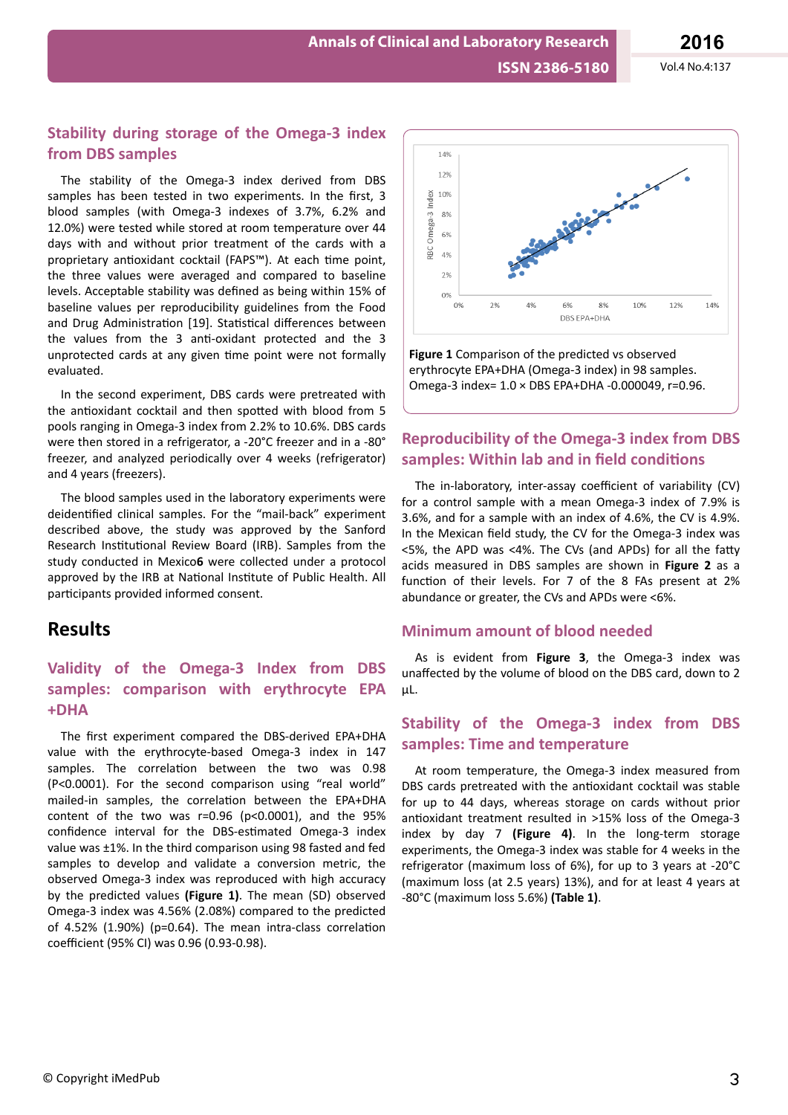**Annals of Clinical and Laboratory Research**

#### **Stability during storage of the Omega-3 index from DBS samples**

The stability of the Omega-3 index derived from DBS samples has been tested in two experiments. In the first, 3 blood samples (with Omega-3 indexes of 3.7%, 6.2% and 12.0%) were tested while stored at room temperature over 44 days with and without prior treatment of the cards with a proprietary antioxidant cocktail (FAPS™). At each time point, the three values were averaged and compared to baseline levels. Acceptable stability was defined as being within 15% of baseline values per reproducibility guidelines from the Food and Drug Administration [19]. Statistical differences between the values from the 3 anti-oxidant protected and the 3 unprotected cards at any given time point were not formally evaluated.

In the second experiment, DBS cards were pretreated with the antioxidant cocktail and then spotted with blood from 5 pools ranging in Omega-3 index from 2.2% to 10.6%. DBS cards were then stored in a refrigerator, a -20°C freezer and in a -80° freezer, and analyzed periodically over 4 weeks (refrigerator) and 4 years (freezers).

The blood samples used in the laboratory experiments were deidentified clinical samples. For the "mail-back" experiment described above, the study was approved by the Sanford Research Institutional Review Board (IRB). Samples from the study conducted in Mexico**6** were collected under a protocol approved by the IRB at National Institute of Public Health. All participants provided informed consent.

# **Results**

## **Validity of the Omega-3 Index from DBS samples: comparison with erythrocyte EPA +DHA**

The first experiment compared the DBS-derived EPA+DHA value with the erythrocyte-based Omega-3 index in 147 samples. The correlation between the two was 0.98 (P<0.0001). For the second comparison using "real world" mailed-in samples, the correlation between the EPA+DHA content of the two was  $r=0.96$  ( $p<0.0001$ ), and the  $95%$ confidence interval for the DBS-estimated Omega-3 index value was ±1%. In the third comparison using 98 fasted and fed samples to develop and validate a conversion metric, the observed Omega-3 index was reproduced with high accuracy by the predicted values **(Figure 1)**. The mean (SD) observed Omega-3 index was 4.56% (2.08%) compared to the predicted of 4.52% (1.90%) (p=0.64). The mean intra-class correlation coefficient (95% CI) was 0.96 (0.93-0.98).



erythrocyte EPA+DHA (Omega-3 index) in 98 samples. Omega-3 index= 1.0 × DBS EPA+DHA -0.000049, r=0.96.

#### **Reproducibility of the Omega-3 index from DBS samples: Within lab and in field conditions**

The in-laboratory, inter-assay coefficient of variability (CV) for a control sample with a mean Omega-3 index of 7.9% is 3.6%, and for a sample with an index of 4.6%, the CV is 4.9%. In the Mexican field study, the CV for the Omega-3 index was  $<$  5%, the APD was  $<$  4%. The CVs (and APDs) for all the fatty acids measured in DBS samples are shown in **Figure 2** as a function of their levels. For 7 of the 8 FAs present at 2% abundance or greater, the CVs and APDs were <6%.

#### **Minimum amount of blood needed**

As is evident from **Figure 3**, the Omega-3 index was unaffected by the volume of blood on the DBS card, down to 2 µL.

#### **Stability of the Omega-3 index from DBS samples: Time and temperature**

At room temperature, the Omega-3 index measured from DBS cards pretreated with the antioxidant cocktail was stable for up to 44 days, whereas storage on cards without prior antioxidant treatment resulted in >15% loss of the Omega-3 index by day 7 **(Figure 4)**. In the long-term storage experiments, the Omega-3 index was stable for 4 weeks in the refrigerator (maximum loss of 6%), for up to 3 years at -20°C (maximum loss (at 2.5 years) 13%), and for at least 4 years at -80°C (maximum loss 5.6%) **(Table 1)**.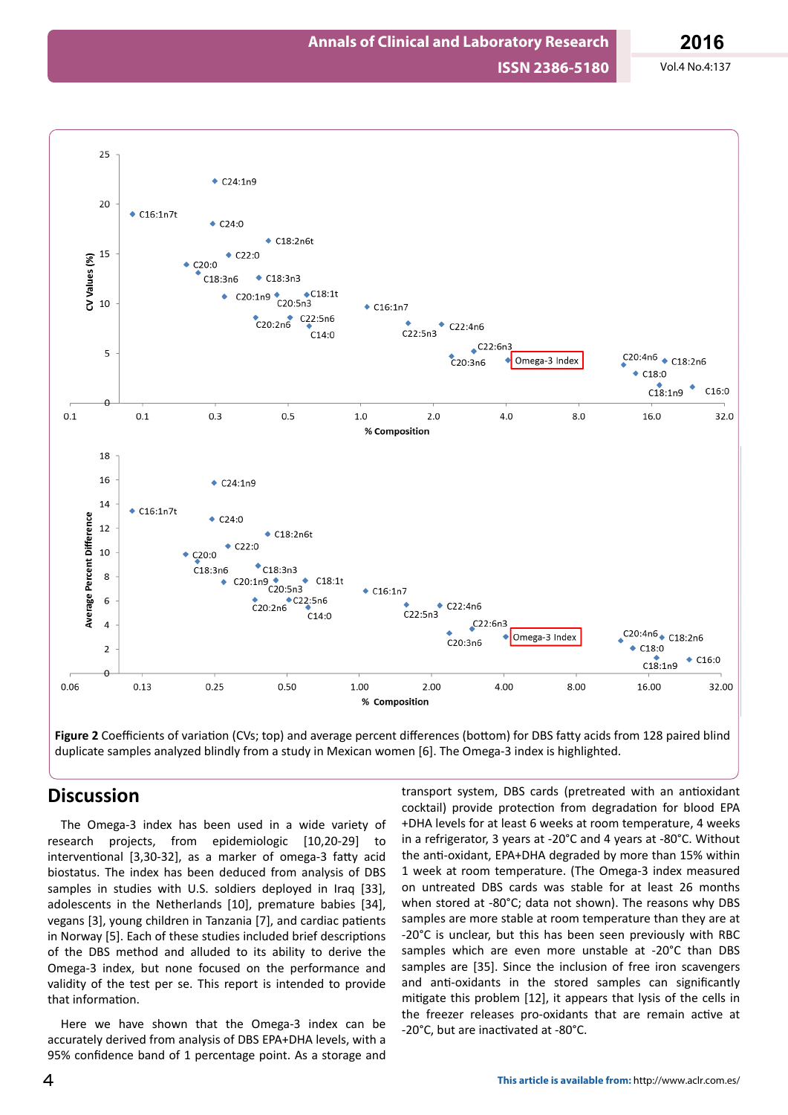

**Figure 2** Coefficients of variation (CVs; top) and average percent differences (bottom) for DBS fatty acids from 128 paired blind duplicate samples analyzed blindly from a study in Mexican women [6]. The Omega-3 index is highlighted.

## **Discussion**

The Omega-3 index has been used in a wide variety of research projects, from epidemiologic [10,20-29] to interventional [3,30-32], as a marker of omega-3 fatty acid biostatus. The index has been deduced from analysis of DBS samples in studies with U.S. soldiers deployed in Iraq [33], adolescents in the Netherlands [10], premature babies [34], vegans [3], young children in Tanzania [7], and cardiac patients in Norway [5]. Each of these studies included brief descriptions of the DBS method and alluded to its ability to derive the Omega-3 index, but none focused on the performance and validity of the test per se. This report is intended to provide that information.

Here we have shown that the Omega-3 index can be accurately derived from analysis of DBS EPA+DHA levels, with a 95% confidence band of 1 percentage point. As a storage and

transport system, DBS cards (pretreated with an antioxidant cocktail) provide protection from degradation for blood EPA +DHA levels for at least 6 weeks at room temperature, 4 weeks in a refrigerator, 3 years at -20°C and 4 years at -80°C. Without the anti-oxidant, EPA+DHA degraded by more than 15% within 1 week at room temperature. (The Omega-3 index measured on untreated DBS cards was stable for at least 26 months when stored at -80°C; data not shown). The reasons why DBS samples are more stable at room temperature than they are at -20°C is unclear, but this has been seen previously with RBC samples which are even more unstable at -20°C than DBS samples are [35]. Since the inclusion of free iron scavengers and anti-oxidants in the stored samples can significantly mitigate this problem [12], it appears that lysis of the cells in the freezer releases pro-oxidants that are remain active at -20°C, but are inactivated at -80°C.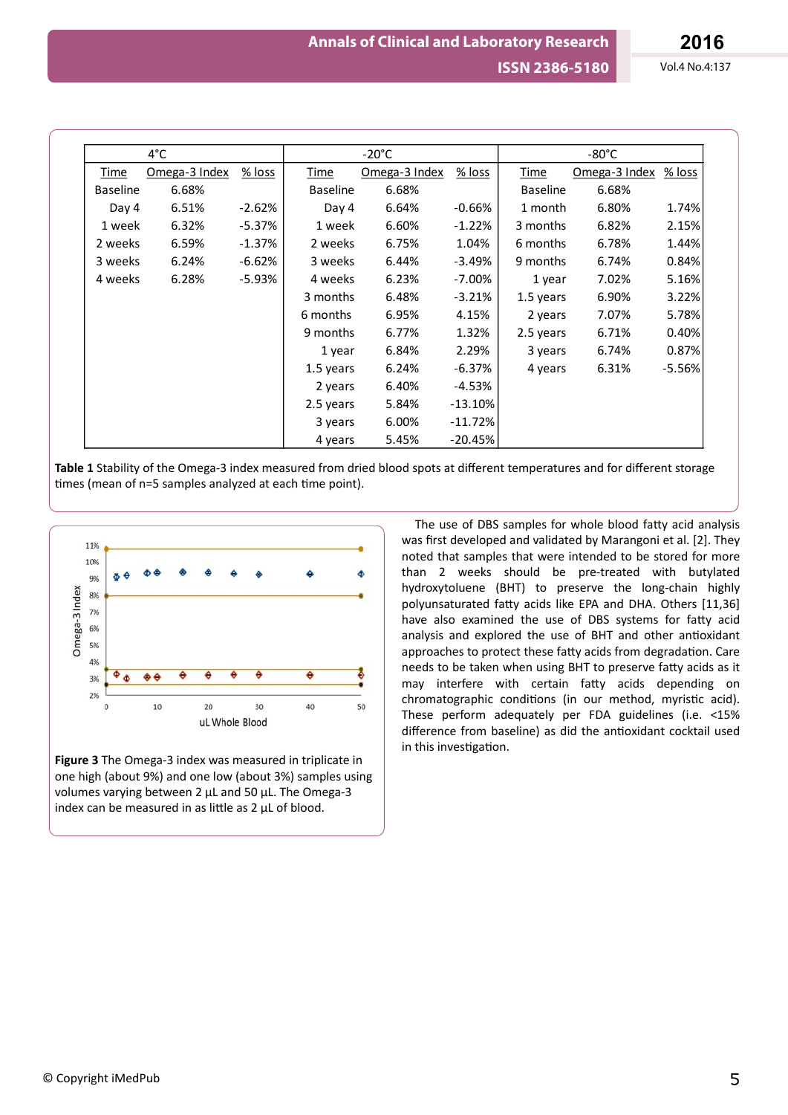| $4^{\circ}$ C   |               |          | $-20^{\circ}$ C |               |           | -80°C           |               |          |
|-----------------|---------------|----------|-----------------|---------------|-----------|-----------------|---------------|----------|
| Time            | Omega-3 Index | $%$ loss | Time            | Omega-3 Index | $%$ loss  | Time            | Omega-3 Index | % loss   |
| <b>Baseline</b> | 6.68%         |          | <b>Baseline</b> | 6.68%         |           | <b>Baseline</b> | 6.68%         |          |
| Day 4           | 6.51%         | $-2.62%$ | Day 4           | 6.64%         | $-0.66%$  | 1 month         | 6.80%         | 1.74%    |
| 1 week          | 6.32%         | $-5.37%$ | 1 week          | 6.60%         | $-1.22%$  | 3 months        | 6.82%         | 2.15%    |
| 2 weeks         | 6.59%         | $-1.37%$ | 2 weeks         | 6.75%         | 1.04%     | 6 months        | 6.78%         | 1.44%    |
| 3 weeks         | 6.24%         | $-6.62%$ | 3 weeks         | 6.44%         | $-3.49%$  | 9 months        | 6.74%         | 0.84%    |
| 4 weeks         | 6.28%         | $-5.93%$ | 4 weeks         | 6.23%         | $-7.00\%$ | 1 year          | 7.02%         | 5.16%    |
|                 |               |          | 3 months        | 6.48%         | $-3.21%$  | 1.5 years       | 6.90%         | 3.22%    |
|                 |               |          | 6 months        | 6.95%         | 4.15%     | 2 years         | 7.07%         | 5.78%    |
|                 |               |          | 9 months        | 6.77%         | 1.32%     | 2.5 years       | 6.71%         | 0.40%    |
|                 |               |          | 1 year          | 6.84%         | 2.29%     | 3 years         | 6.74%         | 0.87%    |
|                 |               |          | 1.5 years       | 6.24%         | $-6.37%$  | 4 years         | 6.31%         | $-5.56%$ |
|                 |               |          | 2 years         | 6.40%         | $-4.53%$  |                 |               |          |
|                 |               |          | 2.5 years       | 5.84%         | $-13.10%$ |                 |               |          |
|                 |               |          | 3 years         | 6.00%         | $-11.72%$ |                 |               |          |
|                 |               |          | 4 years         | 5.45%         | $-20.45%$ |                 |               |          |

Table 1 Stability of the Omega-3 index measured from dried blood spots at different temperatures and for different storage times (mean of n=5 samples analyzed at each time point).



**Figure 3** The Omega-3 index was measured in triplicate in one high (about 9%) and one low (about 3%) samples using volumes varying between 2 µL and 50 µL. The Omega-3 index can be measured in as little as  $2 \mu L$  of blood.

The use of DBS samples for whole blood fatty acid analysis was first developed and validated by Marangoni et al. [2]. They noted that samples that were intended to be stored for more than 2 weeks should be pre-treated with butylated hydroxytoluene (BHT) to preserve the long-chain highly polyunsaturated fatty acids like EPA and DHA. Others [11,36] have also examined the use of DBS systems for fatty acid analysis and explored the use of BHT and other antioxidant approaches to protect these fatty acids from degradation. Care needs to be taken when using BHT to preserve fatty acids as it may interfere with certain fatty acids depending on chromatographic conditions (in our method, myristic acid). These perform adequately per FDA guidelines (i.e. <15% difference from baseline) as did the antioxidant cocktail used in this investigation.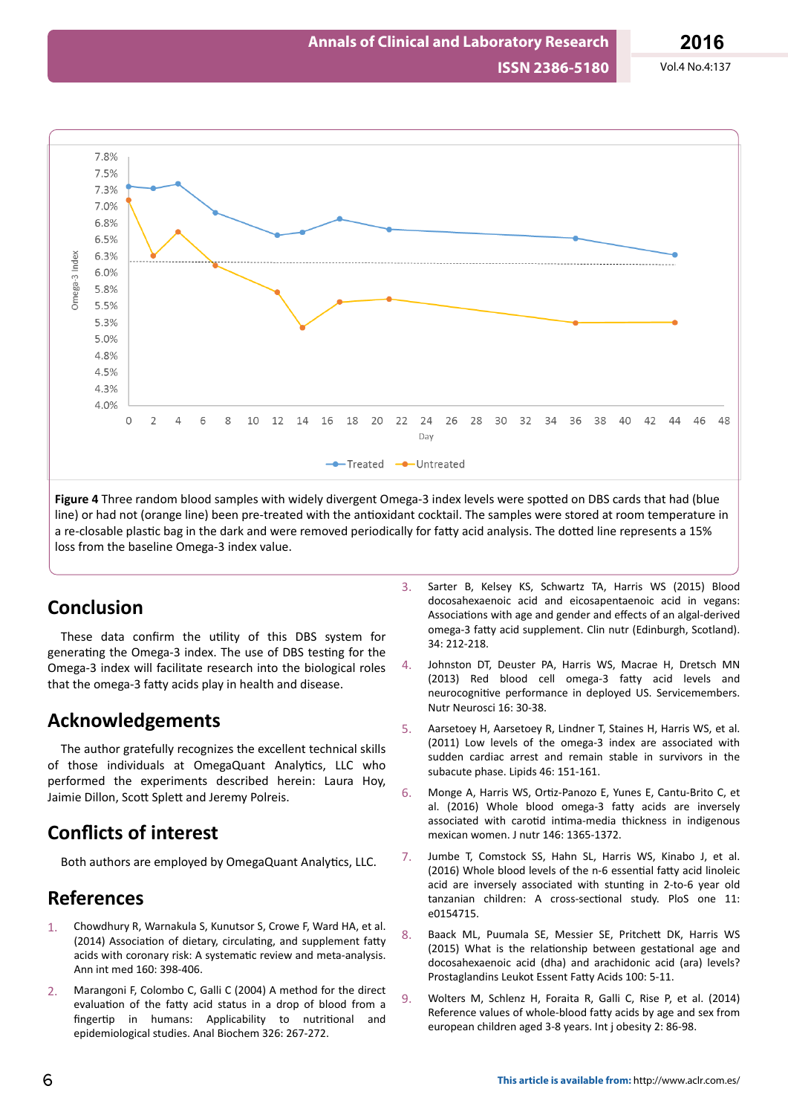

Figure 4 Three random blood samples with widely divergent Omega-3 index levels were spotted on DBS cards that had (blue line) or had not (orange line) been pre-treated with the antioxidant cocktail. The samples were stored at room temperature in a re-closable plastic bag in the dark and were removed periodically for fatty acid analysis. The dotted line represents a 15% loss from the baseline Omega-3 index value.

# **Conclusion**

These data confirm the utility of this DBS system for generating the Omega-3 index. The use of DBS testing for the Omega-3 index will facilitate research into the biological roles that the omega-3 fatty acids play in health and disease.

# **Acknowledgements**

The author gratefully recognizes the excellent technical skills of those individuals at OmegaQuant Analytics, LLC who performed the experiments described herein: Laura Hoy, Jaimie Dillon, Scott Splett and Jeremy Polreis.

# **Conflicts of interest**

Both authors are employed by OmegaQuant Analytics, LLC.

# **References**

- 1. Chowdhury R, Warnakula S, Kunutsor S, Crowe F, Ward HA, et al. (2014) Association of dietary, circulating, and supplement fatty acids with coronary risk: A systematic review and meta-analysis. Ann int med 160: 398-406.
- 2. Marangoni F, Colombo C, Galli C (2004) A method for the direct evaluation of the fatty acid status in a drop of blood from a fingertip in humans: Applicability to nutritional and epidemiological studies. Anal Biochem 326: 267-272.
- 3. Sarter B, Kelsey KS, Schwartz TA, Harris WS (2015) Blood docosahexaenoic acid and eicosapentaenoic acid in vegans: Associations with age and gender and effects of an algal-derived omega-3 fatty acid supplement. Clin nutr (Edinburgh, Scotland). 34: 212-218.
- 4. Johnston DT, Deuster PA, Harris WS, Macrae H, Dretsch MN (2013) Red blood cell omega-3 fatty acid levels and neurocognitive performance in deployed US. Servicemembers. Nutr Neurosci 16: 30-38.
- 5. Aarsetoey H, Aarsetoey R, Lindner T, Staines H, Harris WS, et al. (2011) Low levels of the omega-3 index are associated with sudden cardiac arrest and remain stable in survivors in the subacute phase. Lipids 46: 151-161.
- 6. Monge A, Harris WS, Ortiz-Panozo E, Yunes E, Cantu-Brito C, et al. (2016) Whole blood omega-3 fatty acids are inversely associated with carotid intima-media thickness in indigenous mexican women. J nutr 146: 1365-1372.
- 7. Jumbe T, Comstock SS, Hahn SL, Harris WS, Kinabo J, et al. (2016) Whole blood levels of the n-6 essential fatty acid linoleic acid are inversely associated with stunting in 2-to-6 year old tanzanian children: A cross-sectional study. PloS one 11: e0154715.
- 8. Baack ML, Puumala SE, Messier SE, Pritchett DK, Harris WS (2015) What is the relationship between gestational age and docosahexaenoic acid (dha) and arachidonic acid (ara) levels? Prostaglandins Leukot Essent Fatty Acids 100: 5-11.
- 9. Wolters M, Schlenz H, Foraita R, Galli C, Rise P, et al. (2014) Reference values of whole-blood fatty acids by age and sex from european children aged 3-8 years. Int j obesity 2: 86-98.